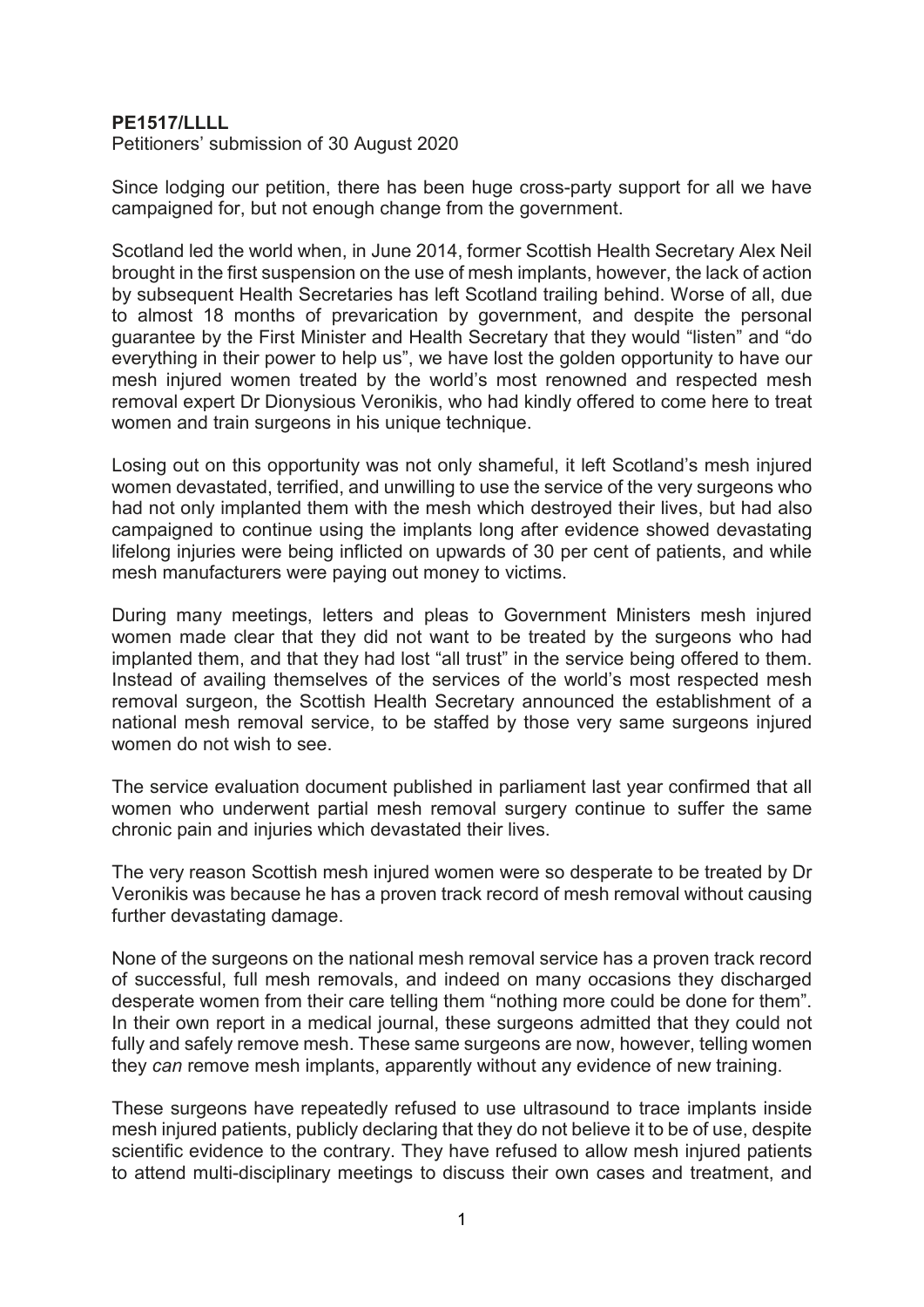## **PE1517/LLLL**

Petitioners' submission of 30 August 2020

Since lodging our petition, there has been huge cross-party support for all we have campaigned for, but not enough change from the government.

Scotland led the world when, in June 2014, former Scottish Health Secretary Alex Neil brought in the first suspension on the use of mesh implants, however, the lack of action by subsequent Health Secretaries has left Scotland trailing behind. Worse of all, due to almost 18 months of prevarication by government, and despite the personal guarantee by the First Minister and Health Secretary that they would "listen" and "do everything in their power to help us", we have lost the golden opportunity to have our mesh injured women treated by the world's most renowned and respected mesh removal expert Dr Dionysious Veronikis, who had kindly offered to come here to treat women and train surgeons in his unique technique.

Losing out on this opportunity was not only shameful, it left Scotland's mesh injured women devastated, terrified, and unwilling to use the service of the very surgeons who had not only implanted them with the mesh which destroyed their lives, but had also campaigned to continue using the implants long after evidence showed devastating lifelong injuries were being inflicted on upwards of 30 per cent of patients, and while mesh manufacturers were paying out money to victims.

During many meetings, letters and pleas to Government Ministers mesh injured women made clear that they did not want to be treated by the surgeons who had implanted them, and that they had lost "all trust" in the service being offered to them. Instead of availing themselves of the services of the world's most respected mesh removal surgeon, the Scottish Health Secretary announced the establishment of a national mesh removal service, to be staffed by those very same surgeons injured women do not wish to see.

The service evaluation document published in parliament last year confirmed that all women who underwent partial mesh removal surgery continue to suffer the same chronic pain and injuries which devastated their lives.

The very reason Scottish mesh injured women were so desperate to be treated by Dr Veronikis was because he has a proven track record of mesh removal without causing further devastating damage.

None of the surgeons on the national mesh removal service has a proven track record of successful, full mesh removals, and indeed on many occasions they discharged desperate women from their care telling them "nothing more could be done for them". In their own report in a medical journal, these surgeons admitted that they could not fully and safely remove mesh. These same surgeons are now, however, telling women they *can* remove mesh implants, apparently without any evidence of new training.

These surgeons have repeatedly refused to use ultrasound to trace implants inside mesh injured patients, publicly declaring that they do not believe it to be of use, despite scientific evidence to the contrary. They have refused to allow mesh injured patients to attend multi-disciplinary meetings to discuss their own cases and treatment, and